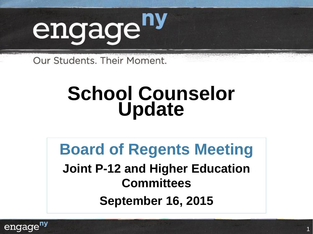

Our Students, Their Moment.

# **School Counselor Update**

### **Board of Regents Meeting**

**Joint P-12 and Higher Education Committees September 16, 2015**

1

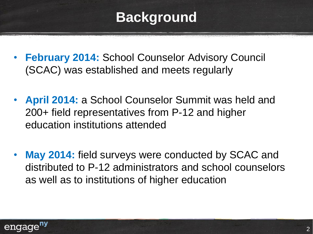### **Background**

- **February 2014: School Counselor Advisory Council** (SCAC) was established and meets regularly
- **April 2014:** a School Counselor Summit was held and 200+ field representatives from P-12 and higher education institutions attended
- **May 2014:** field surveys were conducted by SCAC and distributed to P-12 administrators and school counselors as well as to institutions of higher education

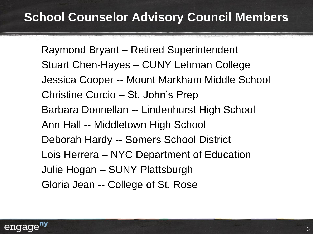Raymond Bryant – Retired Superintendent Stuart Chen-Hayes – CUNY Lehman College Jessica Cooper -- Mount Markham Middle School Christine Curcio – St. John's Prep Barbara Donnellan -- Lindenhurst High School Ann Hall -- Middletown High School Deborah Hardy -- Somers School District Lois Herrera – NYC Department of Education Julie Hogan – SUNY Plattsburgh Gloria Jean -- College of St. Rose

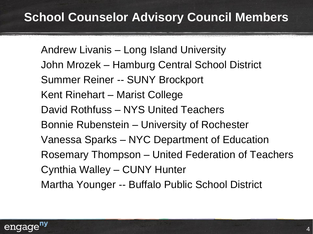Andrew Livanis – Long Island University John Mrozek – Hamburg Central School District Summer Reiner -- SUNY Brockport Kent Rinehart – Marist College David Rothfuss – NYS United Teachers Bonnie Rubenstein – University of Rochester Vanessa Sparks – NYC Department of Education Rosemary Thompson – United Federation of Teachers Cynthia Walley – CUNY Hunter Martha Younger -- Buffalo Public School District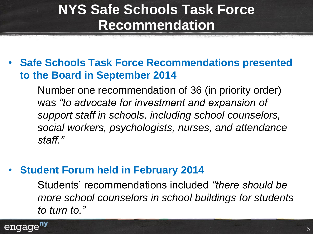### **NYS Safe Schools Task Force Recommendation**

• **Safe Schools Task Force Recommendations presented to the Board in September 2014**

Number one recommendation of 36 (in priority order) was *"to advocate for investment and expansion of support staff in schools, including school counselors, social workers, psychologists, nurses, and attendance staff."*

#### • **Student Forum held in February 2014**

Students' recommendations included *"there should be more school counselors in school buildings for students to turn to."*

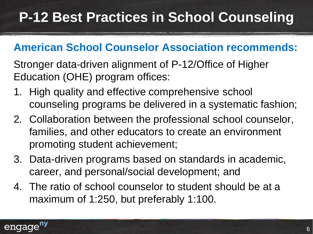# **P-12 Best Practices in School Counseling**

#### **American School Counselor Association recommends:**

Stronger data-driven alignment of P-12/Office of Higher Education (OHE) program offices:

- 1. High quality and effective comprehensive school counseling programs be delivered in a systematic fashion;
- 2. Collaboration between the professional school counselor, families, and other educators to create an environment promoting student achievement;
- 3. Data-driven programs based on standards in academic, career, and personal/social development; and
- 4. The ratio of school counselor to student should be at a maximum of 1:250, but preferably 1:100.

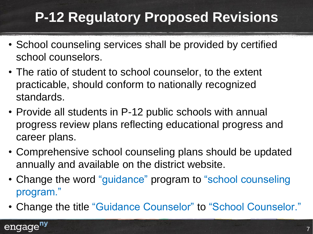# **P-12 Regulatory Proposed Revisions**

- School counseling services shall be provided by certified school counselors.
- The ratio of student to school counselor, to the extent practicable, should conform to nationally recognized standards.
- Provide all students in P-12 public schools with annual progress review plans reflecting educational progress and career plans.
- Comprehensive school counseling plans should be updated annually and available on the district website.
- Change the word "guidance" program to "school counseling program."
- Change the title "Guidance Counselor" to "School Counselor."

#### engage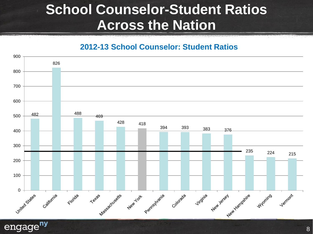#### **School Counselor-Student Ratios Across the Nation**

**2012-13 School Counselor: Student Ratios**



engage<sup>ny</sup>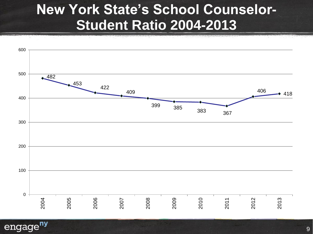#### **New York State's School Counselor-Student Ratio 2004-2013**



engage<sup>ny</sup>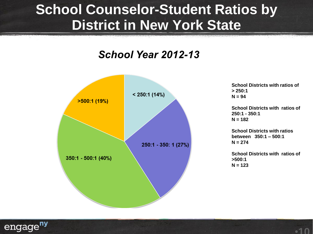#### **School Counselor-Student Ratios by District in New York State**

#### School Year 2012-13



**School Districts with ratios of > 250:1 N = 94**

**School Districts with ratios of 250:1 - 350:1 N = 182**

**School Districts with ratios between 350:1 – 500:1 N = 274**

**School Districts with ratios of >500:1 N = 123**

•**10**

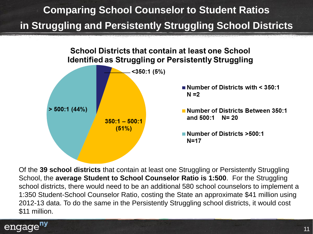#### **Comparing School Counselor to Student Ratios in Struggling and Persistently Struggling School Districts**



Of the **39 school districts** that contain at least one Struggling or Persistently Struggling School, the **average Student to School Counselor Ratio is 1:500**. For the Struggling school districts, there would need to be an additional 580 school counselors to implement a 1:350 Student-School Counselor Ratio, costing the State an approximate \$41 million using 2012-13 data. To do the same in the Persistently Struggling school districts, it would cost \$11 million.

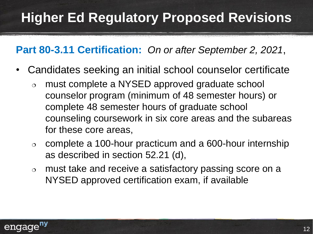#### **Part 80-3.11 Certification:** *On or after September 2, 2021*,

- Candidates seeking an initial school counselor certificate
	- must complete a NYSED approved graduate school counselor program (minimum of 48 semester hours) or complete 48 semester hours of graduate school counseling coursework in six core areas and the subareas for these core areas,
	- $\circ$  complete a 100-hour practicum and a 600-hour internship as described in section 52.21 (d),
	- must take and receive a satisfactory passing score on a NYSED approved certification exam, if available

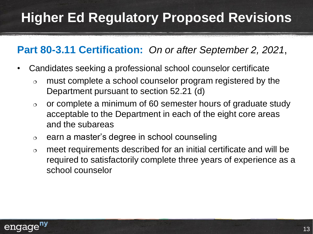#### **Part 80-3.11 Certification:** *On or after September 2, 2021*,

- Candidates seeking a professional school counselor certificate
	- $\circ$  must complete a school counselor program registered by the Department pursuant to section 52.21 (d)
	- $\circ$  or complete a minimum of 60 semester hours of graduate study acceptable to the Department in each of the eight core areas and the subareas
	- $\circ$  earn a master's degree in school counseling
	- $\circ$  meet requirements described for an initial certificate and will be required to satisfactorily complete three years of experience as a school counselor

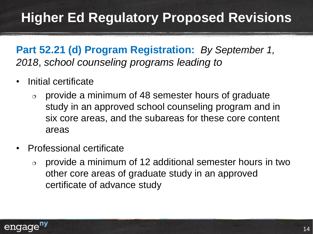**Part 52.21 (d) Program Registration:** *By September 1, 2018*, *school counseling programs leading to*

- Initial certificate
	- $\circ$  provide a minimum of 48 semester hours of graduate study in an approved school counseling program and in six core areas, and the subareas for these core content areas
- Professional certificate
	- $\circ$  provide a minimum of 12 additional semester hours in two other core areas of graduate study in an approved certificate of advance study

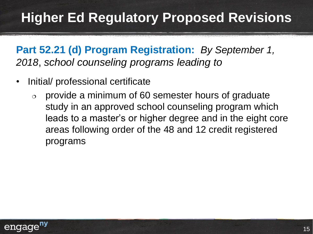**Part 52.21 (d) Program Registration:** *By September 1, 2018*, *school counseling programs leading to*

- Initial/ professional certificate
	- $\circ$  provide a minimum of 60 semester hours of graduate study in an approved school counseling program which leads to a master's or higher degree and in the eight core areas following order of the 48 and 12 credit registered programs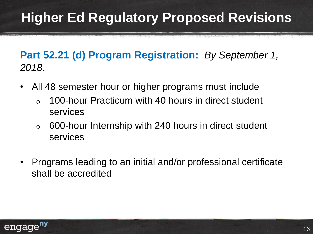**Part 52.21 (d) Program Registration:** *By September 1, 2018*,

- All 48 semester hour or higher programs must include
	- $\circ$  100-hour Practicum with 40 hours in direct student services
	- $\circ$  600-hour Internship with 240 hours in direct student services
- Programs leading to an initial and/or professional certificate shall be accredited

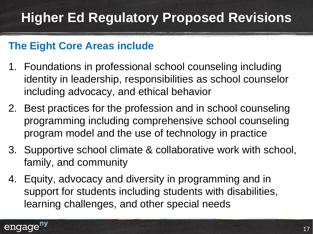#### **The Eight Core Areas include**

- 1. Foundations in professional school counseling including identity in leadership, responsibilities as school counselor including advocacy, and ethical behavior
- 2. Best practices for the profession and in school counseling programming including comprehensive school counseling program model and the use of technology in practice
- 3. Supportive school climate & collaborative work with school, family, and community
- 4. Equity, advocacy and diversity in programming and in support for students including students with disabilities, learning challenges, and other special needs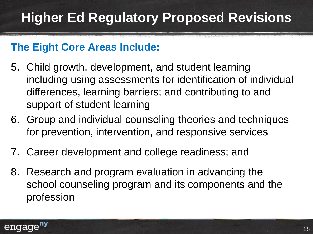#### **The Eight Core Areas Include:**

- 5. Child growth, development, and student learning including using assessments for identification of individual differences, learning barriers; and contributing to and support of student learning
- 6. Group and individual counseling theories and techniques for prevention, intervention, and responsive services
- 7. Career development and college readiness; and
- 8. Research and program evaluation in advancing the school counseling program and its components and the profession